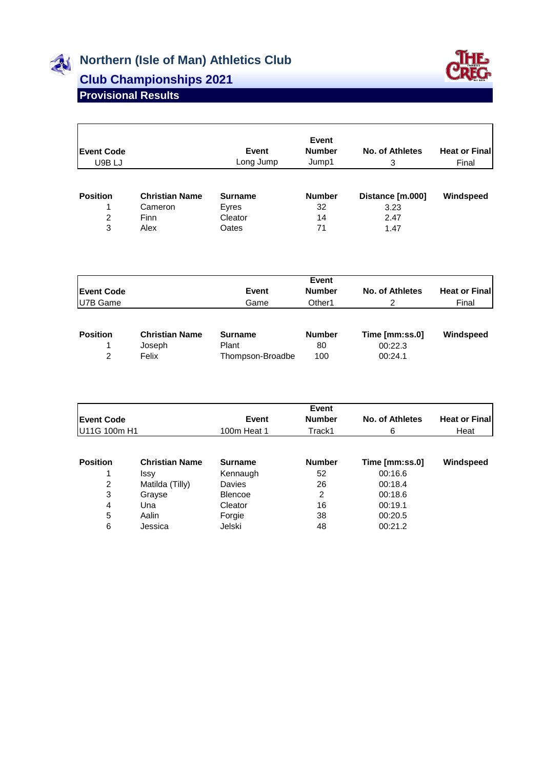

## **Northern (Isle of Man) Athletics Club**

## **Club Championships 2021**



## **Provisional Results**

| <b>Event Code</b><br>U9B LJ |                       | Event<br>Long Jump | <b>Event</b><br><b>Number</b><br>Jump1 | No. of Athletes<br>3 | <b>Heat or Final</b><br>Final |
|-----------------------------|-----------------------|--------------------|----------------------------------------|----------------------|-------------------------------|
| <b>Position</b>             | <b>Christian Name</b> | <b>Surname</b>     | <b>Number</b>                          | Distance [m.000]     | Windspeed                     |
|                             | Cameron               | Eyres              | 32                                     | 3.23                 |                               |
| 2                           | Finn                  | Cleator            | 14                                     | 2.47                 |                               |
| 3                           | Alex                  | Oates              | 71                                     | 1.47                 |                               |

|                   |                       |                  | <b>Event</b>  |                        |                      |
|-------------------|-----------------------|------------------|---------------|------------------------|----------------------|
| <b>Event Code</b> |                       | <b>Event</b>     | <b>Number</b> | <b>No. of Athletes</b> | <b>Heat or Final</b> |
| U7B Game          |                       | Game             | Other1        |                        | Final                |
| <b>Position</b>   | <b>Christian Name</b> | <b>Surname</b>   | <b>Number</b> | Time [mm:ss.0]         | Windspeed            |
|                   |                       |                  |               |                        |                      |
|                   | Joseph                | Plant            | 80            | 00:22.3                |                      |
| $\mathcal{P}$     | Felix                 | Thompson-Broadbe | 100           | 00:24.1                |                      |

|                   |                       |                | Event         |                        |                      |
|-------------------|-----------------------|----------------|---------------|------------------------|----------------------|
| <b>Event Code</b> |                       | Event          | <b>Number</b> | <b>No. of Athletes</b> | <b>Heat or Final</b> |
| U11G 100m H1      |                       | 100m Heat 1    | Track1        | 6                      | Heat                 |
|                   |                       |                |               |                        |                      |
| <b>Position</b>   | <b>Christian Name</b> | <b>Surname</b> | <b>Number</b> | Time [mm:ss.0]         | Windspeed            |
|                   | Issy                  | Kennaugh       | 52            | 00:16.6                |                      |
| 2                 | Matilda (Tilly)       | Davies         | 26            | 00:18.4                |                      |
| 3                 | Grayse                | <b>Blencoe</b> | 2             | 00:18.6                |                      |
| 4                 | Una                   | Cleator        | 16            | 00:19.1                |                      |
| 5                 | Aalin                 | Forgie         | 38            | 00:20.5                |                      |
| 6                 | Jessica               | Jelski         | 48            | 00:21.2                |                      |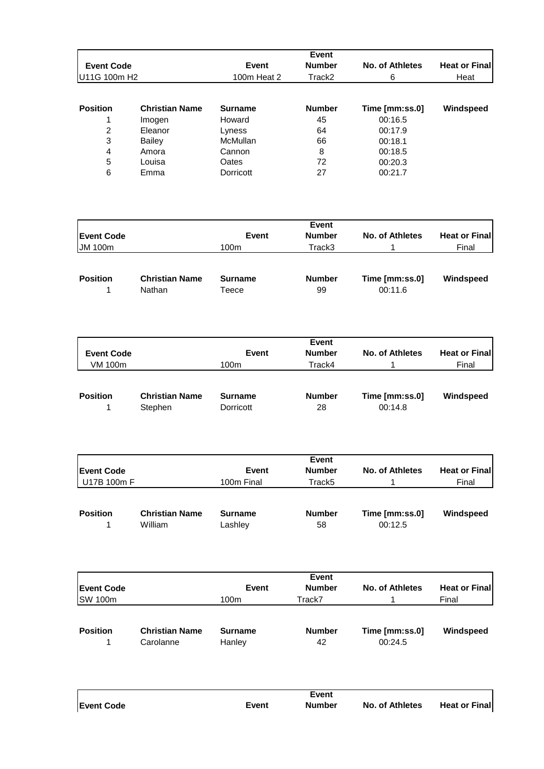|                   |                       |                | Event         |                 |                       |
|-------------------|-----------------------|----------------|---------------|-----------------|-----------------------|
| <b>Event Code</b> |                       | <b>Event</b>   | <b>Number</b> | No. of Athletes | <b>Heat or Finall</b> |
| IU11G 100m H2     |                       | 100m Heat 2    | Track2        | 6               | Heat                  |
|                   |                       |                |               |                 |                       |
| <b>Position</b>   | <b>Christian Name</b> | <b>Surname</b> | <b>Number</b> | Time [mm:ss.0]  | Windspeed             |
|                   | Imogen                | Howard         | 45            | 00:16.5         |                       |
| 2                 | Eleanor               | Lyness         | 64            | 00:17.9         |                       |
| 3                 | <b>Bailey</b>         | McMullan       | 66            | 00:18.1         |                       |
| 4                 | Amora                 | Cannon         | 8             | 00:18.5         |                       |
| 5                 | Louisa                | Oates          | 72            | 00:20.3         |                       |
| 6                 | Emma                  | Dorricott      | 27            | 00:21.7         |                       |

| <b>Event Code</b> |                       | Event          | <b>Event</b><br><b>Number</b> | No. of Athletes | <b>Heat or Finall</b> |
|-------------------|-----------------------|----------------|-------------------------------|-----------------|-----------------------|
| <b>JM 100m</b>    |                       | 100m           | Track3                        |                 | Final                 |
| <b>Position</b>   | <b>Christian Name</b> | <b>Surname</b> | <b>Number</b>                 | Time [mm:ss.0]  | Windspeed             |

1 Nathan Teece 99 00:11.6

| <b>Event Code</b><br>VM 100m |                                  | Event<br>100m               | Event<br><b>Number</b><br>Track4 | No. of Athletes           | <b>Heat or Final</b><br>Final |
|------------------------------|----------------------------------|-----------------------------|----------------------------------|---------------------------|-------------------------------|
| <b>Position</b>              | <b>Christian Name</b><br>Stephen | <b>Surname</b><br>Dorricott | <b>Number</b><br>28              | Time [mm:ss.0]<br>00:14.8 | Windspeed                     |

| <b>Event Code</b> |                                  | Event                     | Event<br><b>Number</b> | <b>No. of Athletes</b>    | <b>Heat or Finall</b> |
|-------------------|----------------------------------|---------------------------|------------------------|---------------------------|-----------------------|
| U17B 100m F       |                                  | 100m Final                | Track <sub>5</sub>     |                           | Final                 |
|                   |                                  |                           |                        |                           |                       |
| <b>Position</b>   | <b>Christian Name</b><br>William | <b>Surname</b><br>Lashley | <b>Number</b><br>58    | Time [mm:ss.0]<br>00:12.5 | Windspeed             |

| <b>Event Code</b> |                                    | <b>Event</b>             | <b>Number</b>       | No. of Athletes           | <b>Heat or Finall</b> |
|-------------------|------------------------------------|--------------------------|---------------------|---------------------------|-----------------------|
| <b>SW 100m</b>    |                                    | 100m                     | Track7              |                           | Final                 |
| <b>Position</b>   | <b>Christian Name</b><br>Carolanne | <b>Surname</b><br>Hanley | <b>Number</b><br>42 | Time [mm:ss.0]<br>00:24.5 | Windspeed             |

|                   |       | Event         |                        |                      |
|-------------------|-------|---------------|------------------------|----------------------|
| <b>Event Code</b> | Event | <b>Number</b> | <b>No. of Athletes</b> | <b>Heat or Final</b> |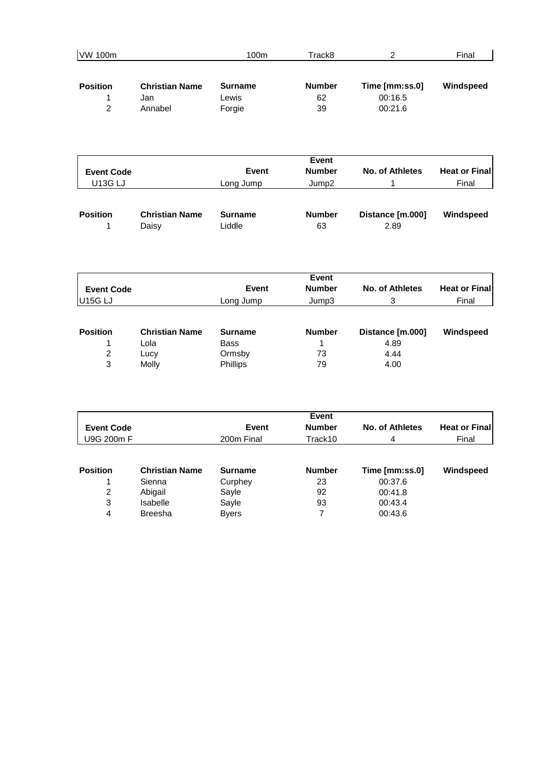| VW 100m         |                       | 100m           | Track8        | 2              | Final     |
|-----------------|-----------------------|----------------|---------------|----------------|-----------|
| <b>Position</b> | <b>Christian Name</b> | <b>Surname</b> | <b>Number</b> | Time [mm:ss.0] | Windspeed |
|                 | Jan                   | Lewis          | 62            | 00:16.5        |           |
| 2               | Annabel               | Forgie         | 39            | 00:21.6        |           |

| <b>Event Code</b><br><b>U13G LJ</b> |                                | <b>Event</b><br>Long Jump | <b>Event</b><br><b>Number</b><br>Jump <sub>2</sub> | No. of Athletes          | <b>Heat or Finall</b><br>Final |
|-------------------------------------|--------------------------------|---------------------------|----------------------------------------------------|--------------------------|--------------------------------|
| <b>Position</b>                     | <b>Christian Name</b><br>Daisy | <b>Surname</b><br>Liddle  | <b>Number</b><br>63                                | Distance [m.000]<br>2.89 | Windspeed                      |

|                   |                       |                | <b>Event</b>  |                  |                       |
|-------------------|-----------------------|----------------|---------------|------------------|-----------------------|
| <b>Event Code</b> |                       | <b>Event</b>   | <b>Number</b> | No. of Athletes  | <b>Heat or Finall</b> |
| <b>U15G LJ</b>    |                       | Long Jump      | Jump3         | 3                | Final                 |
| <b>Position</b>   | <b>Christian Name</b> | <b>Surname</b> | <b>Number</b> | Distance [m.000] | Windspeed             |
|                   | Lola                  | <b>Bass</b>    |               | 4.89             |                       |
| 2                 | Lucy                  | Ormsby         | 73            | 4.44             |                       |
| 3                 | Molly                 | Phillips       | 79            | 4.00             |                       |

| <b>Event Code</b><br>U9G 200m F |                       | <b>Event</b><br><b>Number</b><br>Event<br>Track10<br>200m Final |               | No. of Athletes<br>4 | <b>Heat or Final</b><br>Final |
|---------------------------------|-----------------------|-----------------------------------------------------------------|---------------|----------------------|-------------------------------|
| <b>Position</b>                 | <b>Christian Name</b> | <b>Surname</b>                                                  | <b>Number</b> | Time [mm:ss.0]       | Windspeed                     |
|                                 | Sienna                | Curphey                                                         | 23            | 00:37.6              |                               |
| 2                               | Abigail               | Sayle                                                           | 92            | 00:41.8              |                               |
| 3                               | Isabelle              | Sayle                                                           | 93            | 00:43.4              |                               |
| 4                               | <b>Breesha</b>        | <b>Byers</b>                                                    |               | 00:43.6              |                               |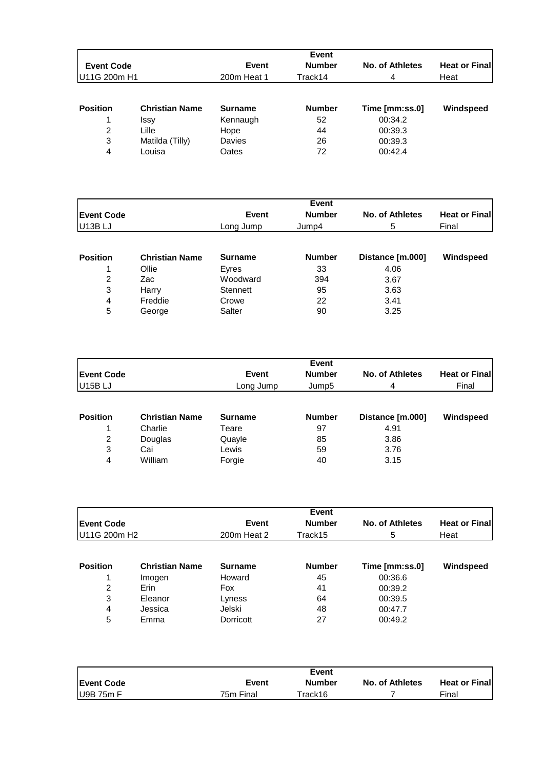|                   |                       |             | Event         |                 |                       |
|-------------------|-----------------------|-------------|---------------|-----------------|-----------------------|
| <b>Event Code</b> |                       | Event       | <b>Number</b> | No. of Athletes | <b>Heat or Finall</b> |
| U11G 200m H1      |                       | 200m Heat 1 | Track14       | 4               | Heat                  |
|                   |                       |             |               |                 |                       |
| <b>Position</b>   | <b>Christian Name</b> | Surname     | <b>Number</b> | Time [mm:ss.0]  | Windspeed             |
|                   | <b>Issy</b>           | Kennaugh    | 52            | 00:34.2         |                       |
| 2                 | Lille                 | Hope        | 44            | 00:39.3         |                       |
| 3                 | Matilda (Tilly)       | Davies      | 26            | 00:39.3         |                       |
| 4                 | Louisa                | Oates       | 72            | 00:42.4         |                       |

|                     |                       |                | <b>Event</b>           |                  |                       |
|---------------------|-----------------------|----------------|------------------------|------------------|-----------------------|
| <b>Event Code</b>   |                       | <b>Event</b>   | <b>Number</b><br>Jump4 | No. of Athletes  | <b>Heat or Finall</b> |
| U <sub>13</sub> BLJ |                       | Long Jump      |                        | 5                | Final                 |
|                     |                       |                |                        |                  |                       |
| <b>Position</b>     | <b>Christian Name</b> | <b>Surname</b> | <b>Number</b>          | Distance [m.000] | Windspeed             |
|                     | Ollie                 | Eyres          | 33                     | 4.06             |                       |
| 2                   | Zac                   | Woodward       | 394                    | 3.67             |                       |
| 3                   | Harry                 | Stennett       | 95                     | 3.63             |                       |
| 4                   | Freddie               | Crowe          | 22                     | 3.41             |                       |
| 5                   | George                | Salter         | 90                     | 3.25             |                       |

|                     |                       |                | <b>Event</b>                       |                  |                       |
|---------------------|-----------------------|----------------|------------------------------------|------------------|-----------------------|
| <b>Event Code</b>   |                       | <b>Event</b>   | <b>Number</b><br>Jump <sub>5</sub> | No. of Athletes  | <b>Heat or Finall</b> |
| U <sub>15</sub> BLJ |                       | Long Jump      |                                    | 4                | Final                 |
| <b>Position</b>     | <b>Christian Name</b> | <b>Surname</b> | <b>Number</b>                      | Distance [m.000] | Windspeed             |
|                     | Charlie               | Teare          | 97                                 | 4.91             |                       |
| 2                   | Douglas               | Quayle         | 85                                 | 3.86             |                       |
| 3                   | Cai                   | Lewis          | 59                                 | 3.76             |                       |
| 4                   | William               | Forgie         | 40                                 | 3.15             |                       |

|                   |                       |                | <b>Event</b>  |                 |                      |
|-------------------|-----------------------|----------------|---------------|-----------------|----------------------|
| <b>Event Code</b> |                       | Event          | <b>Number</b> | No. of Athletes | <b>Heat or Final</b> |
| U11G 200m H2      |                       | 200m Heat 2    | Track15       | 5               | Heat                 |
|                   |                       |                |               |                 |                      |
| <b>Position</b>   | <b>Christian Name</b> | <b>Surname</b> | <b>Number</b> | Time [mm:ss.0]  | Windspeed            |
|                   | Imogen                | Howard         | 45            | 00:36.6         |                      |
| 2                 | Erin                  | Fox            | 41            | 00:39.2         |                      |
| 3                 | Eleanor               | Lyness         | 64            | 00:39.5         |                      |
| 4                 | Jessica               | Jelski         | 48            | 00:47.7         |                      |
| 5                 | Emma                  | Dorricott      | 27            | 00:49.2         |                      |

|                    |           | <b>Event</b> |                        |                       |
|--------------------|-----------|--------------|------------------------|-----------------------|
| <b>IEvent Code</b> | Event     | Number       | <b>No. of Athletes</b> | <b>Heat or Finall</b> |
| $U9B$ 75m F        | 75m Final | Track16      |                        | Final                 |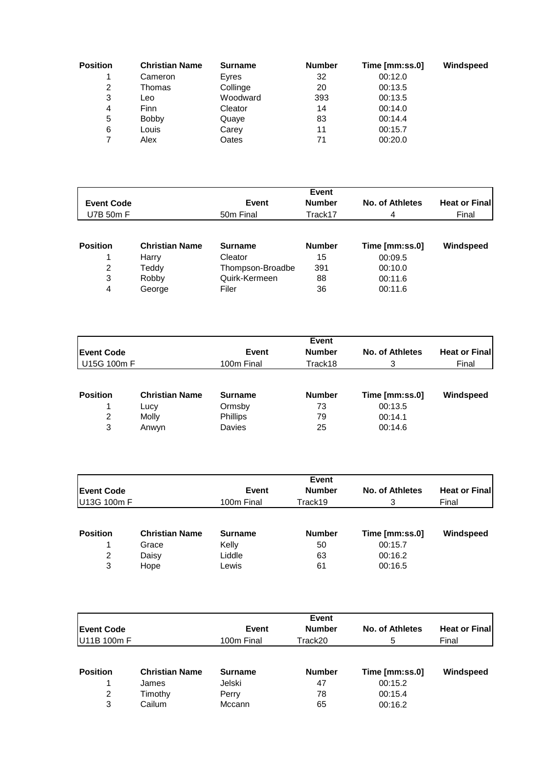| <b>Position</b> | <b>Christian Name</b> | <b>Surname</b> | <b>Number</b> | Time [mm:ss.0] | Windspeed |
|-----------------|-----------------------|----------------|---------------|----------------|-----------|
|                 | Cameron               | Eyres          | 32            | 00:12.0        |           |
| 2               | Thomas                | Collinge       | 20            | 00:13.5        |           |
| 3               | Leo                   | Woodward       | 393           | 00:13.5        |           |
| 4               | Finn                  | Cleator        | 14            | 00:14.0        |           |
| 5               | <b>Bobby</b>          | Quaye          | 83            | 00:14.4        |           |
| 6               | Louis                 | Carey          | 11            | 00:15.7        |           |
|                 | Alex                  | Oates          | 71            | 00:20.0        |           |

|                   |                       |                  | <b>Event</b>  |                 |                       |
|-------------------|-----------------------|------------------|---------------|-----------------|-----------------------|
| <b>Event Code</b> |                       | Event            | <b>Number</b> | No. of Athletes | <b>Heat or Finall</b> |
| U7B 50m F         |                       | 50m Final        | Track17       | 4               | Final                 |
|                   |                       |                  |               |                 |                       |
| <b>Position</b>   | <b>Christian Name</b> | <b>Surname</b>   | <b>Number</b> | Time [mm:ss.0]  | Windspeed             |
|                   | Harry                 | Cleator          | 15            | 00:09.5         |                       |
| 2                 | Teddy                 | Thompson-Broadbe | 391           | 00:10.0         |                       |
| 3                 | Robby                 | Quirk-Kermeen    | 88            | 00:11.6         |                       |
| 4                 | George                | Filer            | 36            | 00:11.6         |                       |

|                   |                       |                 | Event<br><b>Number</b> | No. of Athletes |                       |
|-------------------|-----------------------|-----------------|------------------------|-----------------|-----------------------|
| <b>Event Code</b> |                       | Event           |                        |                 | <b>Heat or Finall</b> |
| U15G 100m F       |                       | 100m Final      | Track18                | 3               | Final                 |
| <b>Position</b>   | <b>Christian Name</b> | <b>Surname</b>  | <b>Number</b>          | Time [mm:ss.0]  | Windspeed             |
| 1                 | Lucy                  | Ormsby          | 73                     | 00:13.5         |                       |
| 2                 | Molly                 | <b>Phillips</b> | 79                     | 00:14.1         |                       |
| 3                 | Anwyn                 | Davies          | 25                     | 00:14.6         |                       |

| <b>Event Code</b> |                       | Event          | <b>Event</b><br><b>Number</b> | No. of Athletes | <b>Heat or Finall</b> |
|-------------------|-----------------------|----------------|-------------------------------|-----------------|-----------------------|
| U13G 100m F       |                       | 100m Final     | Track19                       | 3               | Final                 |
| <b>Position</b>   | <b>Christian Name</b> | <b>Surname</b> | <b>Number</b>                 | Time [mm:ss.0]  | Windspeed             |
|                   | Grace                 | Kelly          | 50                            | 00:15.7         |                       |
| 2                 | Daisy                 | Liddle         | 63                            | 00:16.2         |                       |
| 3                 | Hope                  | Lewis          | 61                            | 00:16.5         |                       |

|                   |                       |                | <b>Event</b>           |                |                       |
|-------------------|-----------------------|----------------|------------------------|----------------|-----------------------|
| <b>Event Code</b> |                       |                | <b>Number</b><br>Event |                | <b>Heat or Finall</b> |
| U11B 100m F       |                       | 100m Final     | Track20                | 5              | Final                 |
| <b>Position</b>   | <b>Christian Name</b> | <b>Surname</b> | <b>Number</b>          | Time [mm:ss.0] | Windspeed             |
|                   | James                 | Jelski         | 47                     | 00:15.2        |                       |
| 2                 | Timothy               | Perry          | 78                     | 00:15.4        |                       |
| 3                 | Cailum                | Mccann         | 65                     | 00:16.2        |                       |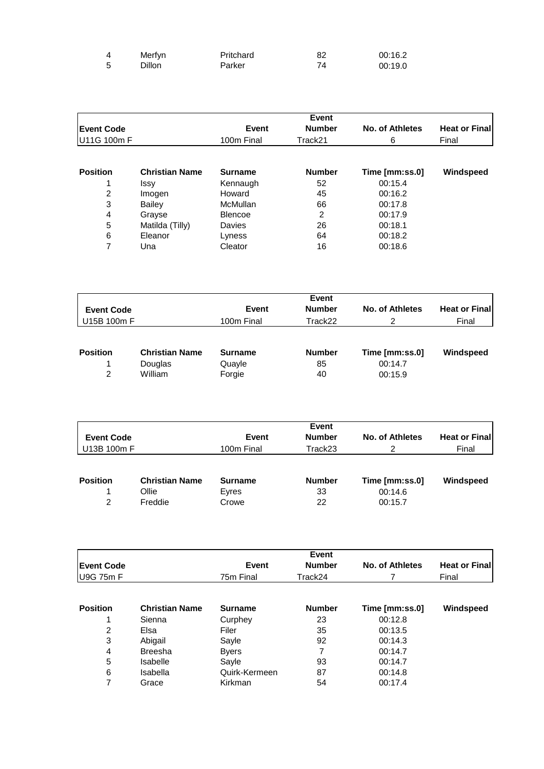| Merfyn | Pritchard | 82 | 00:16.2 |
|--------|-----------|----|---------|
| Dillon | Parker    | 74 | 00:19.0 |

|                   |                       |                | Event         |                 |                      |
|-------------------|-----------------------|----------------|---------------|-----------------|----------------------|
| <b>Event Code</b> |                       | Event          | <b>Number</b> | No. of Athletes | <b>Heat or Final</b> |
| U11G 100m F       |                       | 100m Final     | Track21       | 6               | Final                |
| <b>Position</b>   | <b>Christian Name</b> | <b>Surname</b> | <b>Number</b> | Time [mm:ss.0]  | Windspeed            |
|                   | <b>Issy</b>           | Kennaugh       | 52            | 00:15.4         |                      |
| 2                 | Imogen                | Howard         | 45            | 00:16.2         |                      |
| 3                 | Bailey                | McMullan       | 66            | 00:17.8         |                      |
| 4                 | Grayse                | <b>Blencoe</b> | 2             | 00:17.9         |                      |
| 5                 | Matilda (Tilly)       | Davies         | 26            | 00:18.1         |                      |
| 6                 | Eleanor               | Lyness         | 64            | 00:18.2         |                      |
| 7                 | Una                   | Cleator        | 16            | 00:18.6         |                      |

| <b>Event Code</b><br>U15B 100m F |                                             | Event<br>100m Final                | Event<br><b>Number</b><br>Track22 | No. of Athletes<br>2                 | <b>Heat or Finall</b><br>Final |
|----------------------------------|---------------------------------------------|------------------------------------|-----------------------------------|--------------------------------------|--------------------------------|
| <b>Position</b><br>2             | <b>Christian Name</b><br>Douglas<br>William | <b>Surname</b><br>Quayle<br>Forgie | <b>Number</b><br>85<br>40         | Time [mm:ss.0]<br>00:14.7<br>00:15.9 | Windspeed                      |

|                   |                       |                | Event         |                 |                      |
|-------------------|-----------------------|----------------|---------------|-----------------|----------------------|
| <b>Event Code</b> |                       | Event          | <b>Number</b> | No. of Athletes | <b>Heat or Final</b> |
| U13B 100m F       |                       | 100m Final     | Track23       | 2               | Final                |
| <b>Position</b>   | <b>Christian Name</b> | <b>Surname</b> | <b>Number</b> | Time [mm:ss.0]  | Windspeed            |
|                   | Ollie                 | Eyres          | 33            | 00:14.6         |                      |
| 2                 | Freddie               | Crowe          | 22            | 00:15.7         |                      |

|                   |                       |                | Event         |                 |                      |
|-------------------|-----------------------|----------------|---------------|-----------------|----------------------|
| <b>Event Code</b> |                       | Event          | <b>Number</b> | No. of Athletes | <b>Heat or Final</b> |
| <b>U9G 75m F</b>  |                       | 75m Final      | Track24       |                 | Final                |
|                   |                       |                |               |                 |                      |
| <b>Position</b>   | <b>Christian Name</b> | <b>Surname</b> | <b>Number</b> | Time [mm:ss.0]  | Windspeed            |
|                   | Sienna                | Curphey        | 23            | 00:12.8         |                      |
| 2                 | Elsa                  | Filer          | 35            | 00:13.5         |                      |
| 3                 | Abigail               | Sayle          | 92            | 00:14.3         |                      |
| 4                 | <b>Breesha</b>        | <b>Byers</b>   | 7             | 00:14.7         |                      |
| 5                 | <b>Isabelle</b>       | Sayle          | 93            | 00:14.7         |                      |
| 6                 | Isabella              | Quirk-Kermeen  | 87            | 00:14.8         |                      |
| 7                 | Grace                 | Kirkman        | 54            | 00:17.4         |                      |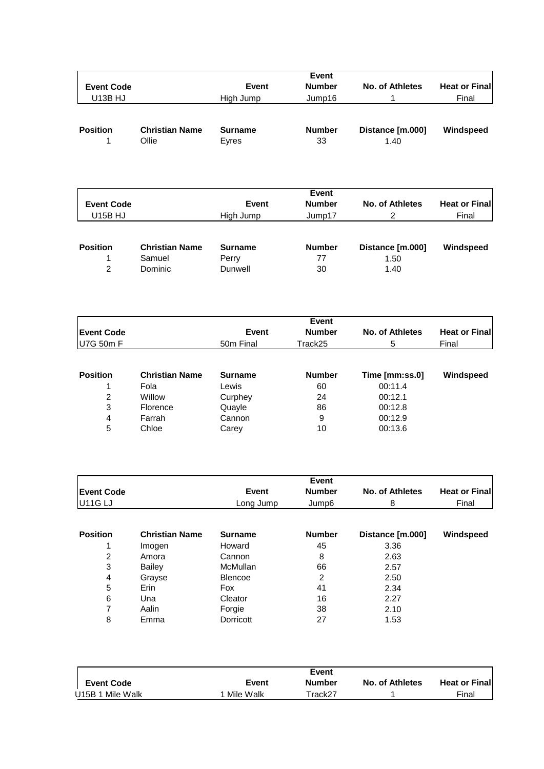|                   |                       |                  | Event         |                        |                                |
|-------------------|-----------------------|------------------|---------------|------------------------|--------------------------------|
| <b>Event Code</b> |                       | Event            | <b>Number</b> | No. of Athletes        | <b>Heat or Finall</b>          |
| <b>U13B HJ</b>    |                       | High Jump        | Jump16        |                        | Final                          |
| <b>Position</b>   | <b>Christian Name</b> | <b>Surname</b>   | <b>Number</b> | Distance [m.000]       | Windspeed                      |
|                   | Ollie                 | Eyres            | 33            | 1.40                   |                                |
|                   |                       |                  |               |                        |                                |
|                   |                       |                  |               |                        |                                |
|                   |                       |                  | Event         |                        |                                |
| <b>Event Code</b> |                       | Event            | <b>Number</b> | <b>No. of Athletes</b> |                                |
| U15B HJ           |                       | High Jump        | Jump17        | 2                      | <b>Heat or Finall</b><br>Final |
|                   |                       |                  |               |                        |                                |
| <b>Position</b>   | <b>Christian Name</b> | <b>Surname</b>   | <b>Number</b> | Distance [m.000]       | Windspeed                      |
| 2                 | Samuel<br>Dominic     | Perry<br>Dunwell | 77<br>30      | 1.50<br>1.40           |                                |

|                   |                       |                       | Event         |                 |                       |
|-------------------|-----------------------|-----------------------|---------------|-----------------|-----------------------|
| <b>Event Code</b> |                       | <b>Event</b>          | <b>Number</b> | No. of Athletes | <b>Heat or Finall</b> |
| U7G 50m F         |                       | 50 <sub>m</sub> Final | Track25       | 5               | Final                 |
|                   |                       |                       |               |                 |                       |
| <b>Position</b>   | <b>Christian Name</b> | <b>Surname</b>        | <b>Number</b> | Time [mm:ss.0]  | Windspeed             |
|                   | Fola                  | Lewis                 | 60            | 00:11.4         |                       |
| 2                 | Willow                | Curphey               | 24            | 00:12.1         |                       |
| 3                 | Florence              | Quayle                | 86            | 00:12.8         |                       |
| 4                 | Farrah                | Cannon                | 9             | 00:12.9         |                       |
| 5                 | Chloe                 | Carey                 | 10            | 00:13.6         |                       |

|                     |                       |                 | Event         |                        |                      |
|---------------------|-----------------------|-----------------|---------------|------------------------|----------------------|
| <b>Event Code</b>   |                       | Event           | <b>Number</b> | <b>No. of Athletes</b> | <b>Heat or Final</b> |
| U <sub>11G LJ</sub> |                       | Long Jump       | Jump6         | 8                      | Final                |
| <b>Position</b>     | <b>Christian Name</b> | <b>Surname</b>  | <b>Number</b> | Distance [m.000]       | Windspeed            |
|                     | Imogen                | Howard          | 45            | 3.36                   |                      |
| 2                   | Amora                 | Cannon          | 8             | 2.63                   |                      |
| 3                   | Bailey                | <b>McMullan</b> | 66            | 2.57                   |                      |
| 4                   | Grayse                | <b>Blencoe</b>  | 2             | 2.50                   |                      |
| 5                   | Erin                  | Fox             | 41            | 2.34                   |                      |
| 6                   | Una                   | Cleator         | 16            | 2.27                   |                      |
| 7                   | Aalin                 | Forgie          | 38            | 2.10                   |                      |
| 8                   | Emma                  | Dorricott       | 27            | 1.53                   |                      |

|                   |           | Event   |                        |                       |
|-------------------|-----------|---------|------------------------|-----------------------|
| <b>Event Code</b> | Event     | Number  | <b>No. of Athletes</b> | <b>Heat or Finall</b> |
| U15B 1 Mile Walk  | Mile Walk | ™rack27 |                        | Final                 |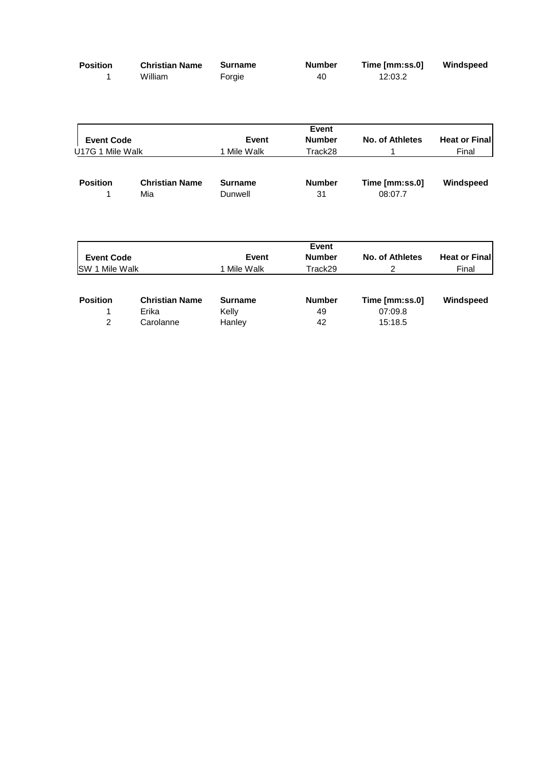| <b>Position</b> | <b>Christian Name</b> | <b>Surname</b> | <b>Number</b> | Time [mm:ss.0] | Windspeed |
|-----------------|-----------------------|----------------|---------------|----------------|-----------|
|                 | William               | Forgie         | 40            | 12:03.2        |           |

| <b>Event Code</b><br>U17G 1 Mile Walk |                              | <b>Event</b><br>1 Mile Walk | <b>Event</b><br><b>Number</b><br>Track28 | <b>No. of Athletes</b>    | <b>Heat or Final</b><br>Final |
|---------------------------------------|------------------------------|-----------------------------|------------------------------------------|---------------------------|-------------------------------|
| <b>Position</b>                       | <b>Christian Name</b><br>Mia | <b>Surname</b><br>Dunwell   | <b>Number</b><br>31                      | Time [mm:ss.0]<br>08:07.7 | Windspeed                     |
| <b>Event Code</b>                     |                              | Event                       | <b>Event</b><br><b>Number</b>            | <b>No. of Athletes</b>    | <b>Heat or Final</b>          |
| <b>ISW 1 Mile Walk</b>                |                              | 1 Mile Walk                 | Track29                                  | 2                         | Final                         |

| <b>Position</b> | <b>Christian Name</b> | <b>Surname</b> | <b>Number</b> | Time [mm:ss.0] | Windspeed |
|-----------------|-----------------------|----------------|---------------|----------------|-----------|
|                 | Erika                 | Kelly          | 49            | 07:09.8        |           |
|                 | Carolanne             | Hanlev         | 42            | 15:18.5        |           |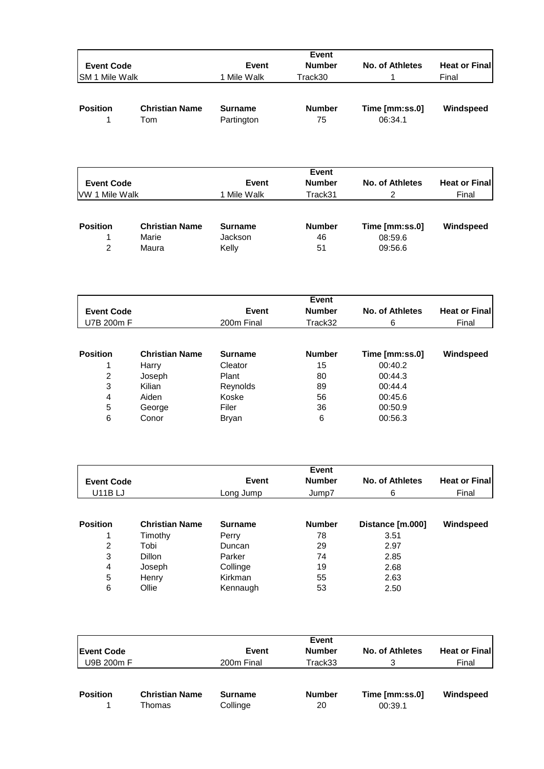| <b>Event Code</b><br>SM 1 Mile Walk                                                                        |                                                                                | <b>Event</b><br>1 Mile Walk                                                      | <b>Event</b><br><b>Number</b><br>Track30         | <b>No. of Athletes</b><br>1                                                      | <b>Heat or Final</b><br>Final |
|------------------------------------------------------------------------------------------------------------|--------------------------------------------------------------------------------|----------------------------------------------------------------------------------|--------------------------------------------------|----------------------------------------------------------------------------------|-------------------------------|
| <b>Position</b><br>1                                                                                       | <b>Christian Name</b><br>Tom                                                   | <b>Surname</b><br>Partington                                                     | <b>Number</b><br>75                              | Time [mm:ss.0]<br>06:34.1                                                        | Windspeed                     |
| <b>Event Code</b><br>VW 1 Mile Walk                                                                        |                                                                                | Event<br>1 Mile Walk                                                             | <b>Event</b><br><b>Number</b><br>Track31         | <b>No. of Athletes</b><br>$\overline{2}$                                         | <b>Heat or Final</b><br>Final |
| <b>Position</b><br>1<br>$\overline{2}$                                                                     | <b>Christian Name</b><br>Marie<br>Maura                                        | <b>Surname</b><br>Jackson<br>Kelly                                               | <b>Number</b><br>46<br>51                        | Time [mm:ss.0]<br>08:59.6<br>09:56.6                                             | Windspeed                     |
| <b>Event Code</b>                                                                                          |                                                                                | Event                                                                            | Event<br><b>Number</b>                           | <b>No. of Athletes</b>                                                           | <b>Heat or Final</b>          |
| U7B 200m F                                                                                                 |                                                                                | 200m Final                                                                       | Track32                                          | 6                                                                                | Final                         |
| <b>Position</b><br>1<br>$\boldsymbol{2}$<br>$\ensuremath{\mathsf{3}}$<br>$\overline{\mathbf{4}}$<br>5<br>6 | <b>Christian Name</b><br>Harry<br>Joseph<br>Kilian<br>Aiden<br>George<br>Conor | <b>Surname</b><br>Cleator<br>Plant<br>Reynolds<br>Koske<br>Filer<br><b>Bryan</b> | <b>Number</b><br>15<br>80<br>89<br>56<br>36<br>6 | Time [mm:ss.0]<br>00:40.2<br>00:44.3<br>00:44.4<br>00:45.6<br>00:50.9<br>00:56.3 | Windspeed                     |
| <b>Event Code</b><br><b>U11BLJ</b>                                                                         |                                                                                | <b>Event</b><br>Long Jump                                                        | Event<br><b>Number</b><br>Jump7                  | <b>No. of Athletes</b><br>6                                                      | <b>Heat or Final</b><br>Final |
| <b>Position</b><br>1<br>$\mathcal{D}$                                                                      | <b>Christian Name</b><br>Timothy<br><b>Tobi</b>                                | <b>Surname</b><br>Perry<br>Duncan                                                | <b>Number</b><br>78<br>20                        | Distance [m.000]<br>3.51<br>2Q                                                   | Windspeed                     |

|   | l imothy      | Perry    | 78 | 3.51 |  |
|---|---------------|----------|----|------|--|
| 2 | Tobi          | Duncan   | 29 | 2.97 |  |
| 3 | <b>Dillon</b> | Parker   | 74 | 2.85 |  |
| 4 | Joseph        | Collinge | 19 | 2.68 |  |
| 5 | Henry         | Kirkman  | 55 | 2.63 |  |
| 6 | Ollie         | Kennaugh | 53 | 2.50 |  |
|   |               |          |    |      |  |

|                 |                                 |                            | Event               |                           |                       |  |
|-----------------|---------------------------------|----------------------------|---------------------|---------------------------|-----------------------|--|
| Event Code      |                                 | Event                      | <b>Number</b>       | No. of Athletes           | <b>Heat or Finall</b> |  |
| U9B 200m F      |                                 | 200m Final                 | Track33             | 3                         | Final                 |  |
| <b>Position</b> | <b>Christian Name</b><br>Thomas | <b>Surname</b><br>Collinge | <b>Number</b><br>20 | Time [mm:ss.0]<br>00:39.1 | Windspeed             |  |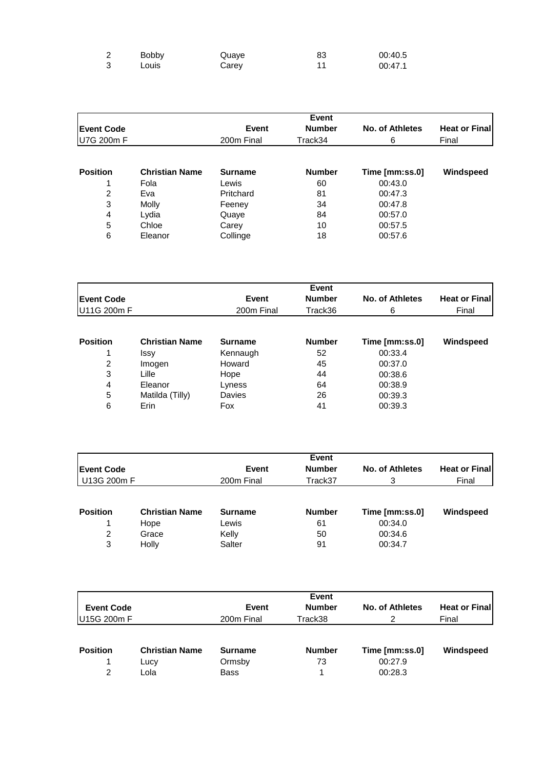| <b>Bobby</b> | Quave | 83 | 00:40.5 |
|--------------|-------|----|---------|
| Louis        | Carey |    | 00:47.1 |

|                   |                       |                | <b>Event</b>  |                        |                      |
|-------------------|-----------------------|----------------|---------------|------------------------|----------------------|
| <b>Event Code</b> |                       | <b>Event</b>   | <b>Number</b> | <b>No. of Athletes</b> | <b>Heat or Final</b> |
| U7G 200m F        |                       | 200m Final     | Track34       | 6                      | Final                |
|                   |                       |                |               |                        |                      |
| <b>Position</b>   | <b>Christian Name</b> | <b>Surname</b> | <b>Number</b> | Time [mm:ss.0]         | Windspeed            |
|                   | Fola                  | Lewis          | 60            | 00:43.0                |                      |
| 2                 | Eva                   | Pritchard      | 81            | 00:47.3                |                      |
| 3                 | Molly                 | Feeney         | 34            | 00:47.8                |                      |
| 4                 | Lydia                 | Quaye          | 84            | 00:57.0                |                      |
| 5                 | Chloe                 | Carey          | 10            | 00:57.5                |                      |
| 6                 | Eleanor               | Collinge       | 18            | 00:57.6                |                      |

|                   |                       |                        | <b>Event</b>  |                 |                       |  |
|-------------------|-----------------------|------------------------|---------------|-----------------|-----------------------|--|
| <b>Event Code</b> |                       | <b>Number</b><br>Event |               | No. of Athletes | <b>Heat or Finall</b> |  |
| U11G 200m F       |                       | 200m Final             | Track36       | 6               | Final                 |  |
| <b>Position</b>   | <b>Christian Name</b> | <b>Surname</b>         | <b>Number</b> | Time [mm:ss.0]  | Windspeed             |  |
|                   | Issy                  | Kennaugh               | 52            | 00:33.4         |                       |  |
| 2                 | Imogen                | Howard                 | 45            | 00:37.0         |                       |  |
| 3                 | Lille                 | Hope                   | 44            | 00:38.6         |                       |  |

4 Eleanor Lyness 64 00:38.9 5 Matilda (Tilly) Davies 26 00:39.3 6 Erin Fox 41 00:39.3

| <b>IEvent Code</b> |                       | Event<br><b>No. of Athletes</b><br><b>Number</b><br>Event |               |                | <b>Heat or Final</b> |  |
|--------------------|-----------------------|-----------------------------------------------------------|---------------|----------------|----------------------|--|
| U13G 200m F        |                       | 200m Final                                                | Track37       | 3              | Final                |  |
| <b>Position</b>    | <b>Christian Name</b> | <b>Surname</b>                                            | <b>Number</b> | Time [mm:ss.0] | Windspeed            |  |
|                    | Hope                  | Lewis                                                     | 61            | 00:34.0        |                      |  |
| 2                  | Grace                 | Kelly                                                     | 50            | 00:34.6        |                      |  |
| 3                  | Holly                 | Salter                                                    | 91            | 00:34.7        |                      |  |

| <b>Event Code</b><br>U15G 200m F |                                       | <b>Event</b><br><b>Number</b><br><b>Event</b><br>Track38<br>200m Final |                     | No. of Athletes                      | <b>Heat or Finall</b><br>Final |
|----------------------------------|---------------------------------------|------------------------------------------------------------------------|---------------------|--------------------------------------|--------------------------------|
| <b>Position</b><br>$\mathcal{P}$ | <b>Christian Name</b><br>Lucy<br>Lola | <b>Surname</b><br>Ormsby<br><b>Bass</b>                                | <b>Number</b><br>73 | Time [mm:ss.0]<br>00:27.9<br>00:28.3 | Windspeed                      |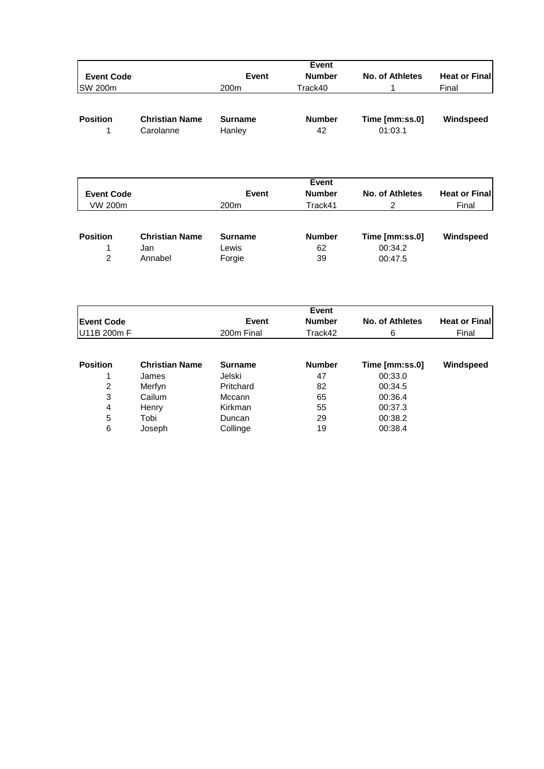|                   |                                    |                          | <b>Event</b>        |                           |                       |
|-------------------|------------------------------------|--------------------------|---------------------|---------------------------|-----------------------|
| <b>Event Code</b> |                                    | <b>Number</b><br>Event   |                     | No. of Athletes           | <b>Heat or Finall</b> |
| <b>SW 200m</b>    |                                    | 200 <sub>m</sub>         | Track40             |                           | Final                 |
| <b>Position</b>   | <b>Christian Name</b><br>Carolanne | <b>Surname</b><br>Hanley | <b>Number</b><br>42 | Time [mm:ss.0]<br>01:03.1 | Windspeed             |

| <b>Event Code</b>                 |                                         | Event                             | <b>Heat or Finall</b>     |                                      |           |
|-----------------------------------|-----------------------------------------|-----------------------------------|---------------------------|--------------------------------------|-----------|
| VW 200m                           |                                         | 200 <sub>m</sub>                  | Final                     |                                      |           |
| <b>Position</b><br>$\mathfrak{p}$ | <b>Christian Name</b><br>Jan<br>Annabel | <b>Surname</b><br>Lewis<br>Forgie | <b>Number</b><br>62<br>39 | Time [mm:ss.0]<br>00:34.2<br>00:47.5 | Windspeed |

|                   |                       |                | <b>Event</b>  |                 |                       |
|-------------------|-----------------------|----------------|---------------|-----------------|-----------------------|
| <b>Event Code</b> |                       | Event          | <b>Number</b> | No. of Athletes | <b>Heat or Finall</b> |
| U11B 200m F       |                       | 200m Final     | Track42       | 6               | Final                 |
|                   |                       |                |               |                 |                       |
| <b>Position</b>   | <b>Christian Name</b> | <b>Surname</b> | <b>Number</b> | Time [mm:ss.0]  | Windspeed             |
|                   | James                 | Jelski         | 47            | 00:33.0         |                       |
| 2                 | Merfyn                | Pritchard      | 82            | 00:34.5         |                       |
| 3                 | Cailum                | Mccann         | 65            | 00:36.4         |                       |
| 4                 | Henry                 | Kirkman        | 55            | 00:37.3         |                       |
| 5                 | Tobi                  | Duncan         | 29            | 00:38.2         |                       |
| 6                 | Joseph                | Collinge       | 19            | 00:38.4         |                       |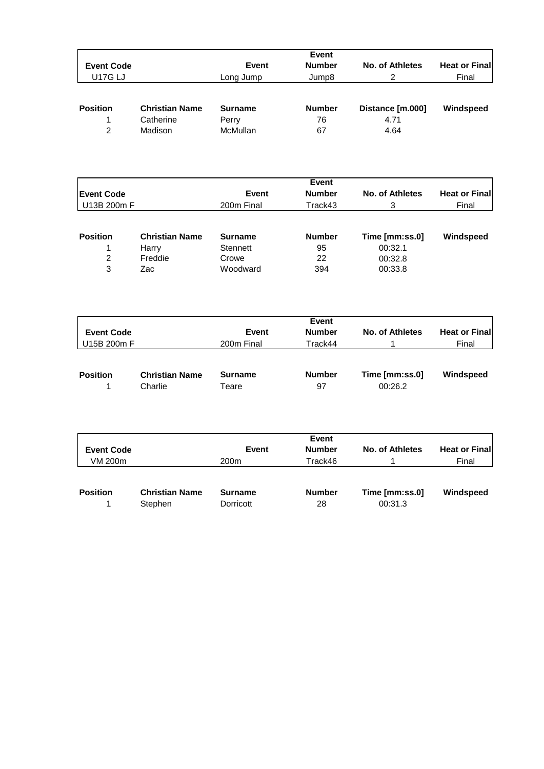|                   |                       |                | Event         |                  |                       |
|-------------------|-----------------------|----------------|---------------|------------------|-----------------------|
| <b>Event Code</b> |                       | Event          | <b>Number</b> | No. of Athletes  | <b>Heat or Finall</b> |
| <b>U17G LJ</b>    |                       | Long Jump      | Jump8         | 2                | Final                 |
| <b>Position</b>   | <b>Christian Name</b> | <b>Surname</b> | <b>Number</b> | Distance [m.000] | Windspeed             |
| 1                 | Catherine             | Perry          | 76            | 4.71             |                       |
| 2                 | Madison               | McMullan       | 67            | 4.64             |                       |

|                   |                       |                | <b>Event</b>  |                 |                       |  |
|-------------------|-----------------------|----------------|---------------|-----------------|-----------------------|--|
| <b>Event Code</b> |                       | <b>Event</b>   | <b>Number</b> | No. of Athletes | <b>Heat or Finall</b> |  |
| U13B 200m F       |                       | 200m Final     | Track43       |                 | Final                 |  |
| <b>Position</b>   | <b>Christian Name</b> | <b>Surname</b> | <b>Number</b> | Time [mm:ss.0]  | Windspeed             |  |
|                   | Harry                 | Stennett       | 95            | 00:32.1         |                       |  |
| 2                 | Freddie               | Crowe          | 22            | 00:32.8         |                       |  |
| 3                 | Zac                   | Woodward       | 394           | 00:33.8         |                       |  |

| <b>Event Code</b> |                                  | Event                   | Event<br><b>Number</b> | No. of Athletes           | <b>Heat or Finall</b> |
|-------------------|----------------------------------|-------------------------|------------------------|---------------------------|-----------------------|
| U15B 200m F       |                                  | 200m Final              | Track44                |                           | Final                 |
| <b>Position</b>   | <b>Christian Name</b><br>Charlie | <b>Surname</b><br>Teare | <b>Number</b><br>97    | Time [mm:ss.0]<br>00:26.2 | Windspeed             |

| <b>Event Code</b> |                                  | Event                       | Event<br><b>Number</b> | No. of Athletes           | <b>Heat or Finall</b> |
|-------------------|----------------------------------|-----------------------------|------------------------|---------------------------|-----------------------|
| VM 200m           |                                  | 200 <sub>m</sub>            | Track46                |                           | Final                 |
| <b>Position</b>   | <b>Christian Name</b><br>Stephen | <b>Surname</b><br>Dorricott | <b>Number</b><br>28    | Time [mm:ss.0]<br>00:31.3 | Windspeed             |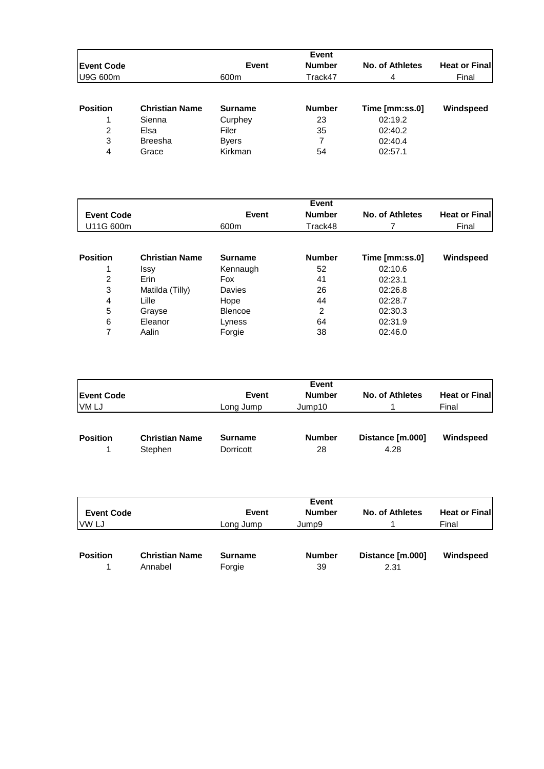|                   |                       |                | Event         |                 |                       |
|-------------------|-----------------------|----------------|---------------|-----------------|-----------------------|
| <b>Event Code</b> |                       | Event          | <b>Number</b> | No. of Athletes | <b>Heat or Finall</b> |
| U9G 600m          |                       | 600m           | Track47       | 4               | Final                 |
| <b>Position</b>   | <b>Christian Name</b> | <b>Surname</b> | <b>Number</b> | Time [mm:ss.0]  | Windspeed             |
|                   | Sienna                | Curphey        | 23            | 02:19.2         |                       |
| 2                 | Elsa                  | Filer          | 35            | 02:40.2         |                       |
| 3                 | <b>Breesha</b>        | <b>Byers</b>   | 7             | 02:40.4         |                       |
| 4                 | Grace                 | Kirkman        | 54            | 02:57.1         |                       |

|                   |                       |                | <b>Event</b>  |                 |                       |
|-------------------|-----------------------|----------------|---------------|-----------------|-----------------------|
| <b>Event Code</b> |                       | Event          | <b>Number</b> | No. of Athletes | <b>Heat or Finall</b> |
| U11G 600m         |                       | 600m           | Track48       |                 | Final                 |
|                   |                       |                |               |                 |                       |
| <b>Position</b>   | <b>Christian Name</b> | <b>Surname</b> | <b>Number</b> | Time [mm:ss.0]  | Windspeed             |
|                   | <b>Issy</b>           | Kennaugh       | 52            | 02:10.6         |                       |
| 2                 | Erin                  | Fox            | 41            | 02:23.1         |                       |
| 3                 | Matilda (Tilly)       | Davies         | 26            | 02:26.8         |                       |
| 4                 | Lille                 | Hope           | 44            | 02:28.7         |                       |
| 5                 | Grayse                | <b>Blencoe</b> | 2             | 02:30.3         |                       |
| 6                 | Eleanor               | Lyness         | 64            | 02:31.9         |                       |
| 7                 | Aalin                 | Forgie         | 38            | 02:46.0         |                       |

|                   |           | <b>Event</b>  |                 |                      |
|-------------------|-----------|---------------|-----------------|----------------------|
| <b>Event Code</b> | Event     | <b>Number</b> | No. of Athletes | <b>Heat or Final</b> |
| VM LJ             | Long Jump | Jump10        |                 | Final                |
|                   |           |               |                 |                      |
|                   |           |               |                 |                      |

| <b>Position</b> | <b>Christian Name</b> | Surname   | <b>Number</b> | Distance [m.000] | Windspeed |
|-----------------|-----------------------|-----------|---------------|------------------|-----------|
|                 | Stephen               | Dorricott | 28            | 4.28             |           |

|                   |                       | <b>Event</b>   |               |                  |                       |  |  |
|-------------------|-----------------------|----------------|---------------|------------------|-----------------------|--|--|
| <b>Event Code</b> |                       | <b>Event</b>   | <b>Number</b> | No. of Athletes  | <b>Heat or Finall</b> |  |  |
| VW LJ             |                       | Long Jump      | Jump9         |                  | Final                 |  |  |
|                   |                       |                |               |                  |                       |  |  |
| <b>Position</b>   | <b>Christian Name</b> | <b>Surname</b> | <b>Number</b> | Distance [m.000] | Windspeed             |  |  |
|                   | Annabel               | Forgie         | 39            | 2.31             |                       |  |  |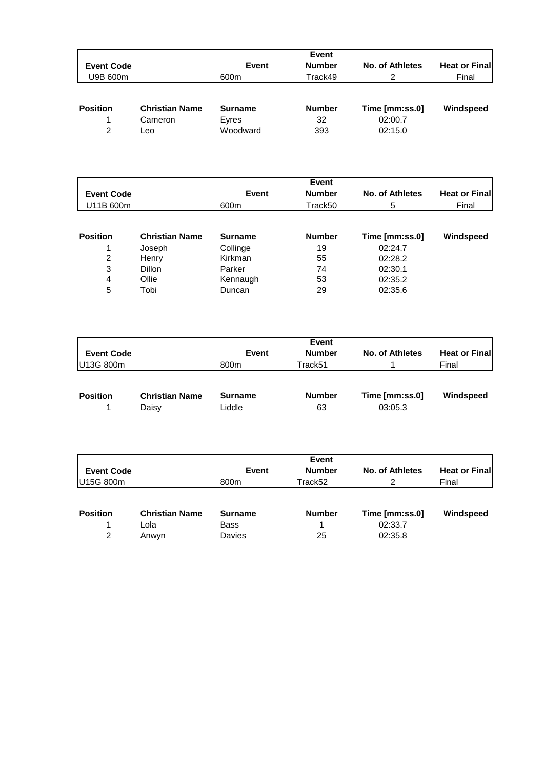|                   |                       |                | Event         |                 |                       |
|-------------------|-----------------------|----------------|---------------|-----------------|-----------------------|
| <b>Event Code</b> |                       | Event          | <b>Number</b> | No. of Athletes | <b>Heat or Finall</b> |
| U9B 600m          |                       | 600m           | Track49       | 2               | Final                 |
| <b>Position</b>   | <b>Christian Name</b> | <b>Surname</b> | <b>Number</b> | Time [mm:ss.0]  | Windspeed             |
|                   | Cameron               | Eyres          | 32            | 02:00.7         |                       |
| $\mathcal{P}$     | ∟eo                   | Woodward       | 393           | 02:15.0         |                       |

|                   |                       |                | Event         |                 |                       |
|-------------------|-----------------------|----------------|---------------|-----------------|-----------------------|
| <b>Event Code</b> |                       | Event          | <b>Number</b> | No. of Athletes | <b>Heat or Finall</b> |
| U11B 600m         |                       | 600m           | Track50       | 5               | Final                 |
|                   |                       |                |               |                 |                       |
| <b>Position</b>   | <b>Christian Name</b> | <b>Surname</b> | <b>Number</b> | Time [mm:ss.0]  | Windspeed             |
|                   | Joseph                | Collinge       | 19            | 02:24.7         |                       |
| 2                 | Henry                 | Kirkman        | 55            | 02:28.2         |                       |
| 3                 | <b>Dillon</b>         | Parker         | 74            | 02:30.1         |                       |
| 4                 | Ollie                 | Kennaugh       | 53            | 02:35.2         |                       |
| 5                 | Tobi                  | Duncan         | 29            | 02:35.6         |                       |

| <b>Event Code</b> |                                | <b>Event</b>             | Event<br><b>Number</b> | No. of Athletes           | <b>Heat or Finall</b> |
|-------------------|--------------------------------|--------------------------|------------------------|---------------------------|-----------------------|
| U13G 800m         |                                | 800m                     | Track51                |                           | Final                 |
| <b>Position</b>   | <b>Christian Name</b><br>Daisy | <b>Surname</b><br>Liddle | <b>Number</b><br>63    | Time [mm:ss.0]<br>03:05.3 | Windspeed             |

|                      |                                        |                                                | Event               |                                      |                       |
|----------------------|----------------------------------------|------------------------------------------------|---------------------|--------------------------------------|-----------------------|
| <b>Event Code</b>    |                                        | <b>Event</b>                                   | <b>Number</b>       | No. of Athletes                      | <b>Heat or Finall</b> |
| U15G 800m            |                                        | 800m                                           | Track52             | 2                                    | Final                 |
| <b>Position</b><br>2 | <b>Christian Name</b><br>Lola<br>Anwyn | <b>Surname</b><br><b>Bass</b><br><b>Davies</b> | <b>Number</b><br>25 | Time [mm:ss.0]<br>02:33.7<br>02:35.8 | Windspeed             |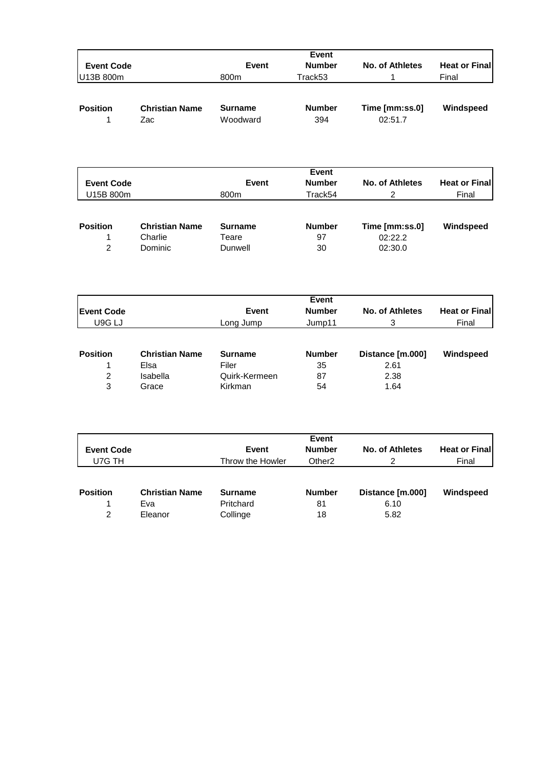|                     |                       |                        | Event              |                        |                      |
|---------------------|-----------------------|------------------------|--------------------|------------------------|----------------------|
| <b>Event Code</b>   |                       | Event                  | <b>Number</b>      | <b>No. of Athletes</b> | <b>Heat or Final</b> |
| U13B 800m           |                       | 800m                   | Track53            | 1                      | Final                |
|                     |                       |                        |                    |                        |                      |
| <b>Position</b>     | <b>Christian Name</b> | <b>Surname</b>         | <b>Number</b>      | Time [mm:ss.0]         | Windspeed            |
| $\mathbf 1$         | Zac                   | Woodward               | 394                | 02:51.7                |                      |
|                     |                       |                        |                    |                        |                      |
|                     |                       |                        |                    |                        |                      |
|                     |                       |                        | Event              |                        |                      |
| <b>Event Code</b>   |                       | Event                  | <b>Number</b>      | <b>No. of Athletes</b> | <b>Heat or Final</b> |
| U15B 800m           |                       | 800m                   | Track54            | 2                      | Final                |
|                     |                       |                        |                    |                        |                      |
| <b>Position</b>     | <b>Christian Name</b> | <b>Surname</b>         | <b>Number</b>      | Time [mm:ss.0]         | Windspeed            |
| 1                   | Charlie               | Teare                  | 97                 | 02:22.2                |                      |
| $\overline{2}$      | Dominic               | Dunwell                | 30                 | 02:30.0                |                      |
|                     |                       |                        |                    |                        |                      |
|                     |                       |                        | Event              |                        |                      |
| <b>Event Code</b>   |                       | Event                  | <b>Number</b>      | <b>No. of Athletes</b> | <b>Heat or Final</b> |
| U9G LJ              |                       | Long Jump              | Jump11             | 3                      | Final                |
|                     |                       |                        |                    |                        |                      |
| <b>Position</b>     | <b>Christian Name</b> | <b>Surname</b>         | <b>Number</b>      | Distance [m.000]       | Windspeed            |
| 1<br>$\overline{c}$ | Elsa<br>Isabella      | Filer<br>Quirk-Kermeen | 35<br>87           | 2.61<br>2.38           |                      |
| 3                   | Grace                 | Kirkman                | 54                 | 1.64                   |                      |
|                     |                       |                        |                    |                        |                      |
|                     |                       |                        | <b>Event</b>       |                        |                      |
| <b>Event Code</b>   |                       | Event                  | <b>Number</b>      | <b>No. of Athletes</b> | <b>Heat or Final</b> |
| U7G TH              |                       | Throw the Howler       | Other <sub>2</sub> | $\overline{2}$         | Final                |
| <b>Position</b>     | <b>Christian Name</b> | <b>Surname</b>         | <b>Number</b>      | Distance [m.000]       | Windspeed            |

1 Eva Pritchard 81 6.10

Collinge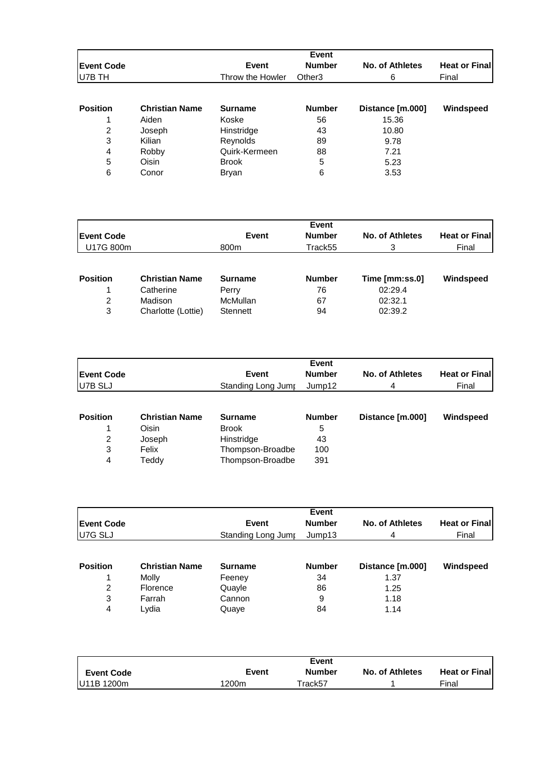|                   |                       |                  | Event              |                        |                       |
|-------------------|-----------------------|------------------|--------------------|------------------------|-----------------------|
| <b>Event Code</b> |                       | Event            | <b>Number</b>      | <b>No. of Athletes</b> | <b>Heat or Finall</b> |
| U7B TH            |                       | Throw the Howler | Other <sub>3</sub> | 6                      | Final                 |
|                   |                       |                  |                    |                        |                       |
| <b>Position</b>   | <b>Christian Name</b> | <b>Surname</b>   | <b>Number</b>      | Distance [m.000]       | Windspeed             |
| 1                 | Aiden                 | Koske            | 56                 | 15.36                  |                       |
| 2                 | Joseph                | Hinstridge       | 43                 | 10.80                  |                       |
| 3                 | Kilian                | Reynolds         | 89                 | 9.78                   |                       |
| 4                 | Robby                 | Quirk-Kermeen    | 88                 | 7.21                   |                       |
| 5                 | Oisin                 | <b>Brook</b>     | 5                  | 5.23                   |                       |
| 6                 | Conor                 | <b>Bryan</b>     | 6                  | 3.53                   |                       |

| <b>Event Code</b> |                       | <b>Event</b>   | <b>Event</b><br><b>Number</b> | No. of Athletes | <b>Heat or Finall</b> |
|-------------------|-----------------------|----------------|-------------------------------|-----------------|-----------------------|
| U17G 800m         |                       | 800m           | Track55                       | 3               | Final                 |
| <b>Position</b>   | <b>Christian Name</b> | <b>Surname</b> | <b>Number</b>                 | Time [mm:ss.0]  | Windspeed             |
|                   | Catherine             | Perry          | 76                            | 02:29.4         |                       |
| 2                 | Madison               | McMullan       | 67                            | 02:32.1         |                       |
| 3                 | Charlotte (Lottie)    | Stennett       | 94                            | 02:39.2         |                       |

|                   |                       |                    | <b>Event</b>  |                        |                       |
|-------------------|-----------------------|--------------------|---------------|------------------------|-----------------------|
| <b>Event Code</b> |                       | Event              | <b>Number</b> | <b>No. of Athletes</b> | <b>Heat or Finall</b> |
| U7B SLJ           |                       | Standing Long Jumr | Jump12        | 4                      | Final                 |
|                   |                       |                    |               |                        |                       |
| <b>Position</b>   | <b>Christian Name</b> | Surname            | <b>Number</b> | Distance [m.000]       | Windspeed             |
|                   | Oisin                 | <b>Brook</b>       | 5             |                        |                       |
| 2                 | Joseph                | Hinstridge         | 43            |                        |                       |
| 3                 | Felix                 | Thompson-Broadbe   | 100           |                        |                       |
| 4                 | Teddy                 | Thompson-Broadbe   | 391           |                        |                       |

| <b>Event Code</b> |                       | Event              | <b>Number</b> | No. of Athletes  | <b>Heat or Finall</b> |
|-------------------|-----------------------|--------------------|---------------|------------------|-----------------------|
| U7G SLJ           |                       | Standing Long Jumr | Jump13        | 4                | Final                 |
|                   |                       |                    |               |                  |                       |
| <b>Position</b>   | <b>Christian Name</b> | <b>Surname</b>     | <b>Number</b> | Distance [m.000] | Windspeed             |
|                   | Molly                 | Feeney             | 34            | 1.37             |                       |
| 2                 | Florence              | Quayle             | 86            | 1.25             |                       |
| 3                 | Farrah                | Cannon             | 9             | 1.18             |                       |
| 4                 | Lvdia                 | Quaye              | 84            | 1.14             |                       |

|                   |       | <b>Event</b>  |                        |                       |
|-------------------|-------|---------------|------------------------|-----------------------|
| <b>Event Code</b> | Event | <b>Number</b> | <b>No. of Athletes</b> | <b>Heat or Finall</b> |
| U11B 1200m        | 1200m | Frack57       |                        | Final                 |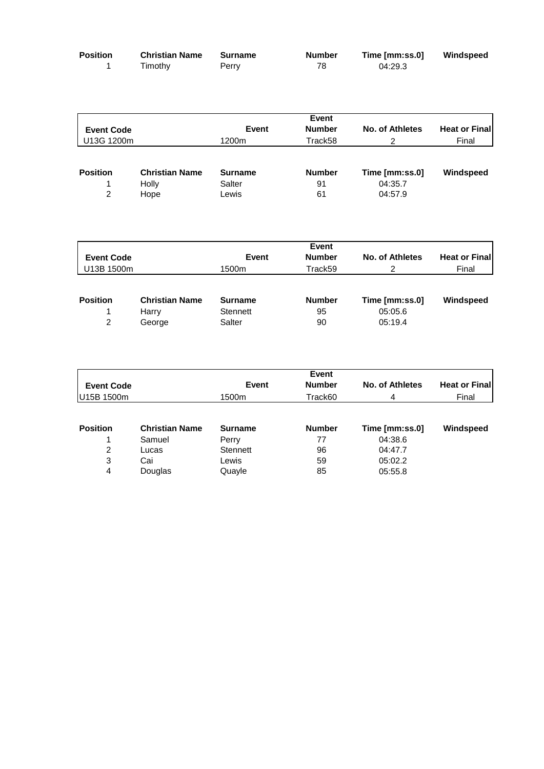| <b>Position</b> | <b>Christian Name</b> | Surname | <b>Number</b> | Time [mm:ss.0] | Windspeed |
|-----------------|-----------------------|---------|---------------|----------------|-----------|
|                 | Timothy               | Perry   | 78            | 04:29.3        |           |

|                   |                       |                | <b>Event</b>  |                 |                       |
|-------------------|-----------------------|----------------|---------------|-----------------|-----------------------|
| <b>Event Code</b> |                       | Event          | <b>Number</b> | No. of Athletes | <b>Heat or Finall</b> |
| U13G 1200m        |                       | 1200m          | Track58       |                 | Final                 |
|                   |                       |                |               |                 |                       |
| <b>Position</b>   | <b>Christian Name</b> | <b>Surname</b> | <b>Number</b> | Time [mm:ss.0]  | Windspeed             |
|                   | Holly                 | Salter         | 91            | 04:35.7         |                       |
| $\mathcal{P}$     | Hope                  | Lewis          | 61            | 04:57.9         |                       |

|                   |                       |                | <b>Event</b>  |                 |                       |
|-------------------|-----------------------|----------------|---------------|-----------------|-----------------------|
| <b>Event Code</b> |                       | <b>Event</b>   | <b>Number</b> | No. of Athletes | <b>Heat or Finall</b> |
| U13B 1500m        |                       | 1500m          | Track59       |                 | Final                 |
|                   |                       |                |               |                 |                       |
| <b>Position</b>   | <b>Christian Name</b> | <b>Surname</b> | <b>Number</b> | Time [mm:ss.0]  | Windspeed             |
|                   | Harry                 | Stennett       | 95            | 05:05.6         |                       |
| 2                 | George                | Salter         | 90            | 05:19.4         |                       |

|                       |                | <b>Event</b>  |                 |                      |
|-----------------------|----------------|---------------|-----------------|----------------------|
| <b>Event Code</b>     | Event          | <b>Number</b> | No. of Athletes | <b>Heat or Final</b> |
| U15B 1500m            | 1500m          | Track60       | 4               | Final                |
|                       |                |               |                 |                      |
| <b>Christian Name</b> | <b>Surname</b> | <b>Number</b> | Time [mm:ss.0]  | Windspeed            |
| Samuel                | Perry          | 77            | 04:38.6         |                      |
| Lucas                 | Stennett       | 96            | 04:47.7         |                      |
| Cai                   | Lewis          | 59            | 05:02.2         |                      |
| Douglas               | Quayle         | 85            | 05:55.8         |                      |
|                       |                |               |                 |                      |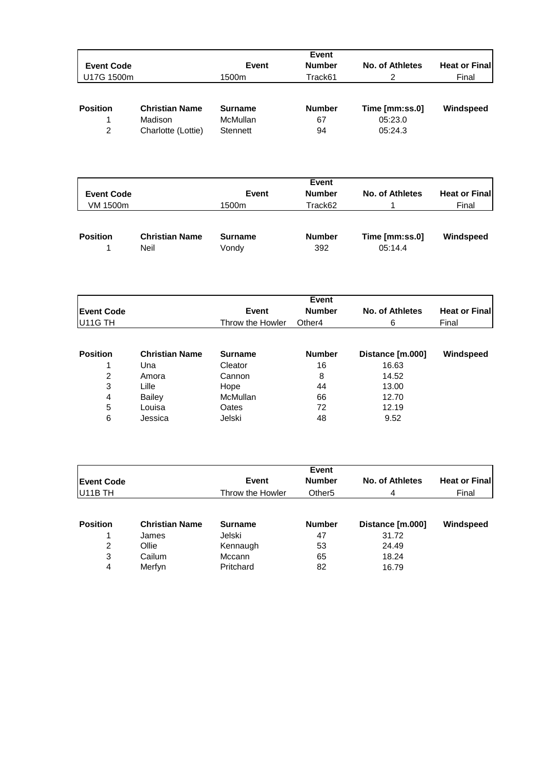|                   |                       |                | Event         |                 |                       |
|-------------------|-----------------------|----------------|---------------|-----------------|-----------------------|
| <b>Event Code</b> |                       | Event          | <b>Number</b> | No. of Athletes | <b>Heat or Finall</b> |
| U17G 1500m        |                       | 1500m          | Track61       | 2               | Final                 |
| <b>Position</b>   | <b>Christian Name</b> | <b>Surname</b> | <b>Number</b> | Time [mm:ss.0]  | Windspeed             |
|                   | Madison               | McMullan       | 67            | 05:23.0         |                       |
| 2                 | Charlotte (Lottie)    | Stennett       | 94            | 05:24.3         |                       |

| <b>Event Code</b> |                       | Event          | Event<br><b>Number</b> | No. of Athletes | <b>Heat or Finall</b> |
|-------------------|-----------------------|----------------|------------------------|-----------------|-----------------------|
| VM 1500m          |                       | 1500m          | Track62                |                 | Final                 |
| <b>Position</b>   | <b>Christian Name</b> | <b>Surname</b> | <b>Number</b>          | Time [mm:ss.0]  | Windspeed             |
|                   | Neil                  | Vondy          | 392                    | 05:14.4         |                       |

|                      |                       |                  | Event              |                   |                       |
|----------------------|-----------------------|------------------|--------------------|-------------------|-----------------------|
| <b>Event Code</b>    |                       | Event            | <b>Number</b>      | No. of Athletes   | <b>Heat or Finall</b> |
| U <sub>11</sub> G TH |                       | Throw the Howler | Other <sub>4</sub> | 6                 | Final                 |
|                      |                       |                  |                    |                   |                       |
| <b>Position</b>      | <b>Christian Name</b> | <b>Surname</b>   | <b>Number</b>      | Distance [m.000]  | Windspeed             |
|                      | Una                   | Cleator          | 16                 | 16.63             |                       |
| ົ                    | Amoro                 | Connon           | Ω                  | 11 F <sub>2</sub> |                       |

|   | UIA           | vicatul         | טו | 10.00 |  |
|---|---------------|-----------------|----|-------|--|
| 2 | Amora         | Cannon          | 8  | 14.52 |  |
| 3 | ∟ille         | Hope            | 44 | 13.00 |  |
| 4 | <b>Bailey</b> | <b>McMullan</b> | 66 | 12.70 |  |
| 5 | Louisa        | Oates           | 72 | 12.19 |  |
| 6 | Jessica       | Jelski          | 48 | 9.52  |  |
|   |               |                 |    |       |  |

|                                           |                       |                        | Event              |                  |                       |  |  |  |
|-------------------------------------------|-----------------------|------------------------|--------------------|------------------|-----------------------|--|--|--|
| <b>Event Code</b><br>U <sub>11</sub> B TH |                       | <b>Number</b><br>Event |                    | No. of Athletes  | <b>Heat or Finall</b> |  |  |  |
|                                           |                       | Throw the Howler       | Other <sub>5</sub> | 4                | Final                 |  |  |  |
| <b>Position</b>                           | <b>Christian Name</b> | <b>Surname</b>         | <b>Number</b>      | Distance [m.000] | Windspeed             |  |  |  |
|                                           | James                 | Jelski                 | 47                 | 31.72            |                       |  |  |  |
| 2                                         | Ollie                 | Kennaugh               | 53                 | 24.49            |                       |  |  |  |
| 3                                         | Cailum                | Mccann                 | 65                 | 18.24            |                       |  |  |  |
| 4                                         | Merfyn                | Pritchard              | 82                 | 16.79            |                       |  |  |  |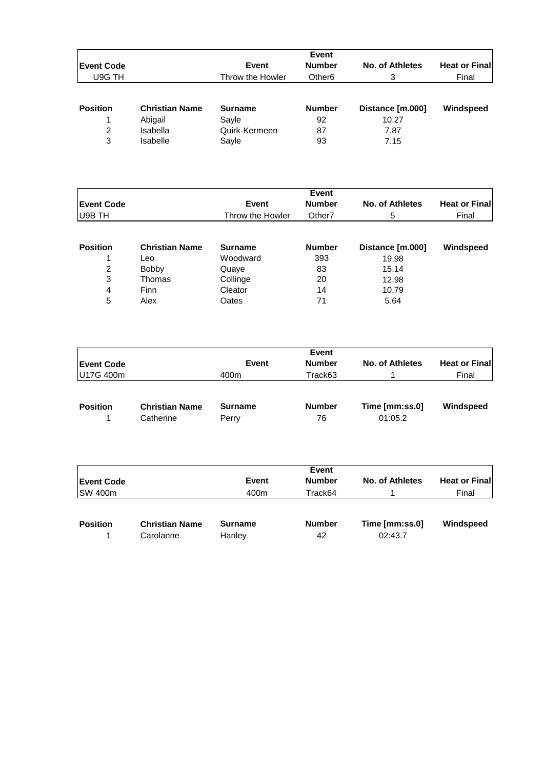|                    |                       |                  | Event              |                        |                       |
|--------------------|-----------------------|------------------|--------------------|------------------------|-----------------------|
| <b>IEvent Code</b> |                       | Event            | <b>Number</b>      | <b>No. of Athletes</b> | <b>Heat or Finall</b> |
| U9G TH             |                       | Throw the Howler | Other <sub>6</sub> | 3                      | Final                 |
| <b>Position</b>    | <b>Christian Name</b> | <b>Surname</b>   | <b>Number</b>      | Distance [m.000]       | Windspeed             |
|                    | Abigail               | Sayle            | 92                 | 10.27                  |                       |
| 2                  | Isabella              | Quirk-Kermeen    | 87                 | 7.87                   |                       |
| 3                  | <b>Isabelle</b>       | Sayle            | 93                 | 7.15                   |                       |

|                   |                       |                                        | <b>Event</b>  |                  |                       |  |
|-------------------|-----------------------|----------------------------------------|---------------|------------------|-----------------------|--|
| <b>Event Code</b> |                       | <b>Number</b><br>Event                 |               | No. of Athletes  | <b>Heat or Finall</b> |  |
| U9B TH            |                       | Throw the Howler<br>Other <sub>7</sub> |               | 5                | Final                 |  |
|                   |                       |                                        |               |                  |                       |  |
| <b>Position</b>   | <b>Christian Name</b> | <b>Surname</b>                         | <b>Number</b> | Distance [m.000] | Windspeed             |  |
|                   | Leo                   | Woodward                               | 393           | 19.98            |                       |  |
| 2                 | <b>Bobby</b>          | Quaye                                  | 83            | 15.14            |                       |  |
| 3                 | Thomas                | Collinge                               | 20            | 12.98            |                       |  |
| 4                 | Finn                  | Cleator                                | 14            | 10.79            |                       |  |
| 5                 | Alex                  | Oates                                  | 71            | 5.64             |                       |  |

|                   |                       |                | Event         |                 |                       |
|-------------------|-----------------------|----------------|---------------|-----------------|-----------------------|
| <b>Event Code</b> |                       | <b>Event</b>   | <b>Number</b> | No. of Athletes | <b>Heat or Finall</b> |
| U17G 400m         |                       | 400m           | Track63       |                 | Final                 |
|                   |                       |                |               |                 |                       |
| <b>Position</b>   | <b>Christian Name</b> | <b>Surname</b> | <b>Number</b> | Time [mm:ss.0]  | Windspeed             |
|                   | Catherine             | Perry          | 76            | 01:05.2         |                       |

|                   |                       |                | Event         |                 |                       |
|-------------------|-----------------------|----------------|---------------|-----------------|-----------------------|
| <b>Event Code</b> |                       | Event          | <b>Number</b> | No. of Athletes | <b>Heat or Finall</b> |
| SW 400m           |                       | 400m           | Track64       |                 | Final                 |
|                   |                       |                |               |                 |                       |
| <b>Position</b>   | <b>Christian Name</b> | <b>Surname</b> | <b>Number</b> | Time [mm:ss.0]  | Windspeed             |
|                   | Carolanne             | Hanley         | 42            | 02:43.7         |                       |